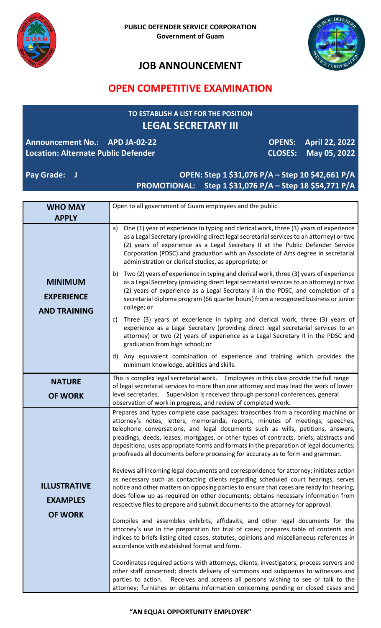



# **JOB ANNOUNCEMENT**

## **OPEN COMPETITIVE EXAMINATION**

### **TO ESTABLISH A LIST FOR THE POSITION LEGAL SECRETARY III**

#### **Announcement No.: APD JA-02-22 Location: Alternate Public Defender**

**OPENS: April 22, 2022 CLOSES: May 05, 2022**

#### **Pay Grade: J OPEN: Step 1 \$31,076 P/A – Step 10 \$42,661 P/A PROMOTIONAL: Step 1 \$31,076 P/A – Step 18 \$54,771 P/A**

| <b>WHO MAY</b>                                             | Open to all government of Guam employees and the public.                                                                                                                                                                                                                                                                                                                                                                                                                                                                                                                                                                                                                                                                                                                                                                                                                                                                                                                          |
|------------------------------------------------------------|-----------------------------------------------------------------------------------------------------------------------------------------------------------------------------------------------------------------------------------------------------------------------------------------------------------------------------------------------------------------------------------------------------------------------------------------------------------------------------------------------------------------------------------------------------------------------------------------------------------------------------------------------------------------------------------------------------------------------------------------------------------------------------------------------------------------------------------------------------------------------------------------------------------------------------------------------------------------------------------|
| <b>APPLY</b>                                               |                                                                                                                                                                                                                                                                                                                                                                                                                                                                                                                                                                                                                                                                                                                                                                                                                                                                                                                                                                                   |
| <b>MINIMUM</b><br><b>EXPERIENCE</b><br><b>AND TRAINING</b> | One (1) year of experience in typing and clerical work, three (3) years of experience<br>a)<br>as a Legal Secretary (providing direct legal secretarial services to an attorney) or two<br>(2) years of experience as a Legal Secretary II at the Public Defender Service<br>Corporation (PDSC) and graduation with an Associate of Arts degree in secretarial<br>administration or clerical studies, as appropriate; or                                                                                                                                                                                                                                                                                                                                                                                                                                                                                                                                                          |
|                                                            | Two (2) years of experience in typing and clerical work, three (3) years of experience<br>b)<br>as a Legal Secretary (providing direct legal secretarial services to an attorney) or two<br>(2) years of experience as a Legal Secretary II in the PDSC, and completion of a<br>secretarial diploma program (66 quarter hours) from a recognized business or junior<br>college; or                                                                                                                                                                                                                                                                                                                                                                                                                                                                                                                                                                                                |
|                                                            | c) Three (3) years of experience in typing and clerical work, three (3) years of<br>experience as a Legal Secretary (providing direct legal secretarial services to an<br>attorney) or two (2) years of experience as a Legal Secretary II in the PDSC and<br>graduation from high school; or                                                                                                                                                                                                                                                                                                                                                                                                                                                                                                                                                                                                                                                                                     |
|                                                            | d) Any equivalent combination of experience and training which provides the<br>minimum knowledge, abilities and skills.                                                                                                                                                                                                                                                                                                                                                                                                                                                                                                                                                                                                                                                                                                                                                                                                                                                           |
| <b>NATURE</b>                                              | This is complex legal secretarial work. Employees in this class provide the full range                                                                                                                                                                                                                                                                                                                                                                                                                                                                                                                                                                                                                                                                                                                                                                                                                                                                                            |
| <b>OF WORK</b>                                             | of legal secretarial services to more than one attorney and may lead the work of lower<br>level secretaries. Supervision is received through personal conferences, general<br>observation of work in progress, and review of completed work.                                                                                                                                                                                                                                                                                                                                                                                                                                                                                                                                                                                                                                                                                                                                      |
| <b>ILLUSTRATIVE</b><br><b>EXAMPLES</b><br><b>OF WORK</b>   | Prepares and types complete case packages; transcribes from a recording machine or<br>attorney's notes, letters, memoranda, reports, minutes of meetings, speeches,<br>telephone conversations, and legal documents such as wills, petitions, answers,<br>pleadings, deeds, leases, mortgages, or other types of contracts, briefs, abstracts and<br>depositions; uses appropriate forms and formats in the preparation of legal documents;<br>proofreads all documents before processing for accuracy as to form and grammar.<br>Reviews all incoming legal documents and correspondence for attorney; initiates action<br>as necessary such as contacting clients regarding scheduled court hearings, serves<br>notice and other matters on opposing parties to ensure that cases are ready for hearing,<br>does follow up as required on other documents; obtains necessary information from<br>respective files to prepare and submit documents to the attorney for approval. |
|                                                            | Compiles and assembles exhibits, affidavits, and other legal documents for the<br>attorney's use in the preparation for trial of cases; prepares table of contents and<br>indices to briefs listing cited cases, statutes, opinions and miscellaneous references in<br>accordance with established format and form.                                                                                                                                                                                                                                                                                                                                                                                                                                                                                                                                                                                                                                                               |
|                                                            | Coordinates required actions with attorneys, clients, investigators, process servers and<br>other staff concerned; directs delivery of summons and subpoenas to witnesses and<br>Receives and screens all persons wishing to see or talk to the<br>parties to action.<br>attorney; furnishes or obtains information concerning pending or closed cases and                                                                                                                                                                                                                                                                                                                                                                                                                                                                                                                                                                                                                        |